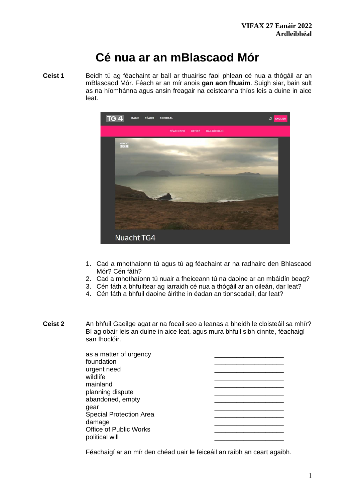# **Cé nua ar an mBlascaod Mór**

**Ceist 1** Beidh tú ag féachaint ar ball ar thuairisc faoi phlean cé nua a thógáil ar an mBlascaod Mór. Féach ar an mír anois **gan aon fhuaim**. Suigh siar, bain sult as na híomhánna agus ansin freagair na ceisteanna thíos leis a duine in aice leat.



- 1. Cad a mhothaíonn tú agus tú ag féachaint ar na radhairc den Bhlascaod Mór? Cén fáth?
- 2. Cad a mhothaíonn tú nuair a fheiceann tú na daoine ar an mbáidín beag?
- 3. Cén fáth a bhfuiltear ag iarraidh cé nua a thógáil ar an oileán, dar leat?
- 4. Cén fáth a bhfuil daoine áirithe in éadan an tionscadail, dar leat?
- **Ceist 2** An bhfuil Gaeilge agat ar na focail seo a leanas a bheidh le cloisteáil sa mhír? Bí ag obair leis an duine in aice leat, agus mura bhfuil sibh cinnte, féachaigí san fhoclóir.

| as a matter of urgency         |  |  |  |
|--------------------------------|--|--|--|
| foundation                     |  |  |  |
| urgent need                    |  |  |  |
| wildlife                       |  |  |  |
| mainland                       |  |  |  |
| planning dispute               |  |  |  |
| abandoned, empty               |  |  |  |
| gear                           |  |  |  |
| <b>Special Protection Area</b> |  |  |  |
| damage                         |  |  |  |
| Office of Public Works         |  |  |  |
| political will                 |  |  |  |
|                                |  |  |  |

Féachaigí ar an mír den chéad uair le feiceáil an raibh an ceart agaibh.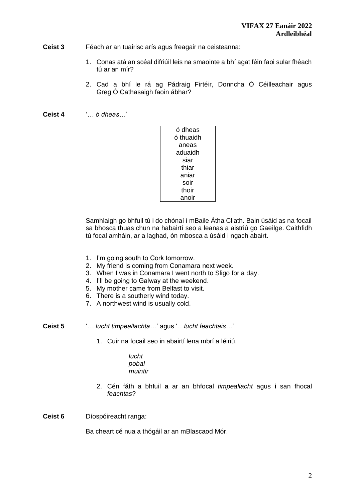### **Ceist 3** Féach ar an tuairisc arís agus freagair na ceisteanna:

- 1. Conas atá an scéal difriúil leis na smaointe a bhí agat féin faoi sular fhéach tú ar an mír?
- 2. Cad a bhí le rá ag Pádraig Firtéir, Donncha Ó Céilleachair agus Greg Ó Cathasaigh faoin ábhar?
- **Ceist 4** '*… ó dheas…*'

| ó dheas   |  |
|-----------|--|
| ó thuaidh |  |
| aneas     |  |
| aduaidh   |  |
| siar      |  |
| thiar     |  |
| aniar     |  |
| soir      |  |
| thoir     |  |
| anoir     |  |

Samhlaigh go bhfuil tú i do chónaí i mBaile Átha Cliath. Bain úsáid as na focail sa bhosca thuas chun na habairtí seo a leanas a aistriú go Gaeilge. Caithfidh tú focal amháin, ar a laghad, ón mbosca a úsáid i ngach abairt.

- 1. I'm going south to Cork tomorrow.
- 2. My friend is coming from Conamara next week.
- 3. When I was in Conamara I went north to Sligo for a day.
- 4. I'll be going to Galway at the weekend.
- 5. My mother came from Belfast to visit.
- 6. There is a southerly wind today.
- 7. A northwest wind is usually cold.
- **Ceist 5** '*… lucht timpeallachta…*' agus '*…lucht feachtais…*'
	- 1. Cuir na focail seo in abairtí lena mbrí a léiriú.
		- *lucht pobal muintir*
	- 2. Cén fáth a bhfuil **a** ar an bhfocal *timpeallacht* agus **i** san fhocal *feachtas*?
- **Ceist 6** Díospóireacht ranga:

Ba cheart cé nua a thógáil ar an mBlascaod Mór.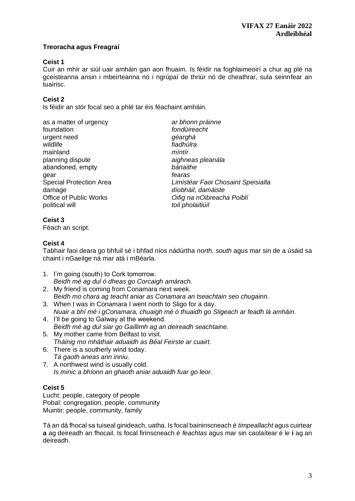# **Treoracha agus Freagraí**

# **Ceist 1**

Cuir an mhír ar siúl uair amháin gan aon fhuaim. Is féidir na foghlaimeoirí a chur ag plé na gceisteanna ansin i mbeirteanna nó i ngrúpaí de thriúr nó de cheathrar, sula seinnfear an tuairisc.

# **Ceist 2**

Is féidir an stór focal seo a phlé tar éis féachaint amháin.

| as a matter of urgency<br>foundation<br>urgent need<br>wildlife<br>mainland<br>planning dispute<br>abandoned, empty<br>gear<br><b>Special Protection Area</b><br>damage<br><b>Office of Public Works</b> | ar bhoi<br>fondúir<br>géargh<br>fiadhúl<br>míntír<br>aighne<br>bánaith<br>fearas<br>Limisté<br>díobhá<br>Oifig n |
|----------------------------------------------------------------------------------------------------------------------------------------------------------------------------------------------------------|------------------------------------------------------------------------------------------------------------------|
| political will                                                                                                                                                                                           | toil pho                                                                                                         |
|                                                                                                                                                                                                          |                                                                                                                  |

ar bhonn práinne  $f$ ondúireacht géarghá  $f$ *iadhúlra* planning dispute *aighneas pleanála* abandoned, empty *bánaithe*  Special Protection Area *Limistéar Faoi Chosaint Speisialta*  díobháil, damáiste Office of Public Works *Oifig na nOibreacha Poiblí* political will *toil pholaitiúil* 

# **Ceist 3**

Féach an script.

## **Ceist 4**

Tabhair faoi deara go bhfuil sé i bhfad níos nádúrtha *north, south* agus mar sin de a úsáid sa chaint i nGaeilge ná mar atá i mBéarla.

- 1. I'm going (south) to Cork tomorrow. *Beidh mé ag dul ó dheas go Corcaigh amárach.*
- 2. My friend is coming from Conamara next week. *Beidh mo chara ag teacht aniar as Conamara an tseachtain seo chugainn.*
- 3. When I was in Conamara I went north to Sligo for a day. *Nuair a bhí mé i gConamara, chuaigh mé ó thuaidh go Sligeach ar feadh lá amháin.*
- 4. I'll be going to Galway at the weekend. *Beidh mé ag dul siar go Gaillimh ag an deireadh seachtaine.*
- 5. My mother came from Belfast to visit. *Tháinig mo mháthair aduaidh as Béal Feirste ar cuairt.*
- 6. There is a southerly wind today. *Tá gaoth aneas ann inniu.*
- 7. A northwest wind is usually cold. *Is minic a bhíonn an ghaoth aniar aduaidh fuar go leor.*

# **Ceist 5**

Lucht: people, category of people Pobal: congregation, people, community Muintir: people, community, family

Tá an dá fhocal sa tuiseal ginideach, uatha. Is focal baininscneach é *timpeallacht* agus cuirtear **a** ag deireadh an fhocail. Is focal firinscneach é *feachtas* agus mar sin caolaítear é le **i** ag an deireadh.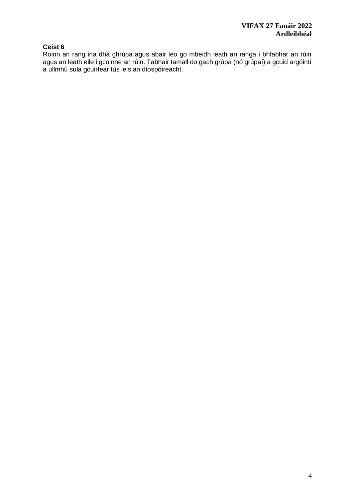# **Ceist 6**

Roinn an rang ina dhá ghrúpa agus abair leo go mbeidh leath an ranga i bhfabhar an rúin agus an leath eile i gcoinne an rúin. Tabhair tamall do gach grúpa (nó grúpaí) a gcuid argóintí a ullmhú sula gcuirfear tús leis an díospóireacht.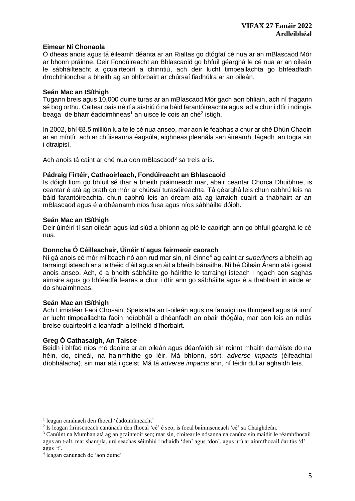## **Eimear Ní Chonaola**

Ó dheas anois agus tá éileamh déanta ar an Rialtas go dtógfaí cé nua ar an mBlascaod Mór ar bhonn práinne. Deir Fondúireacht an Bhlascaoid go bhfuil géarghá le cé nua ar an oileán le sábháilteacht a gcuairteoirí a chinntiú, ach deir lucht timpeallachta go bhféadfadh drochthionchar a bheith ag an bhforbairt ar chúrsaí fiadhúlra ar an oileán.

## **Seán Mac an tSíthigh**

Tugann breis agus 10,000 duine turas ar an mBlascaod Mór gach aon bhliain, ach ní thagann sé bog orthu. Caitear paisinéirí a aistriú ó na báid farantóireachta agus iad a chur i dtír i ndingís beaga de bharr éadoimhneas<sup>1</sup> an uisce le cois an ché<sup>2</sup> istigh.

In 2002, bhí €8.5 milliún luaite le cé nua anseo, mar aon le feabhas a chur ar ché Dhún Chaoin ar an míntír, ach ar chúiseanna éagsúla, aighneas pleanála san áireamh, fágadh an togra sin i dtraipisí.

Ach anois tá caint ar ché nua don mBlascaod<sup>3</sup> sa treis arís.

## **Pádraig Firtéir, Cathaoirleach, Fondúireacht an Bhlascaoid**

Is dóigh liom go bhfuil sé thar a bheith práinneach mar, abair ceantar Chorca Dhuibhne, is ceantar é atá ag brath go mór ar chúrsaí turasóireachta. Tá géarghá leis chun cabhrú leis na báid farantóireachta, chun cabhrú leis an dream atá ag iarraidh cuairt a thabhairt ar an mBlascaod agus é a dhéanamh níos fusa agus níos sábháilte dóibh.

## **Seán Mac an tSíthigh**

Deir úinéirí tí san oileán agus iad siúd a bhíonn ag plé le caoirigh ann go bhfuil géarghá le cé nua.

### **Donncha Ó Céilleachair, Úinéir tí agus feirmeoir caorach**

Ní gá anois cé mór millteach nó aon rud mar sin, níl éinne<sup>4</sup> ag caint ar *superliners* a bheith ag tarraingt isteach ar a leithéid d'áit agus an áit a bheith bánaithe. Ní hé Oileán Árann atá i gceist anois anseo. Ach, é a bheith sábháilte go háirithe le tarraingt isteach i ngach aon saghas aimsire agus go bhféadfá fearas a chur i dtír ann go sábháilte agus é a thabhairt in airde ar do shuaimhneas.

#### **Seán Mac an tSíthigh**

Ach Limistéar Faoi Chosaint Speisialta an t-oileán agus na farraigí ina thimpeall agus tá imní ar lucht timpeallachta faoin ndíobháil a dhéanfadh an obair thógála, mar aon leis an ndlús breise cuairteoirí a leanfadh a leithéid d'fhorbairt.

#### **Greg Ó Cathasaigh, An Taisce**

Beidh i bhfad níos mó daoine ar an oileán agus déanfaidh sin roinnt mhaith damáiste do na héin, do, cineál, na hainmhithe go léir. Má bhíonn, sórt, *adverse impacts* (éifeachtaí díobhálacha), sin mar atá i gceist. Má tá *adverse impacts* ann, ní féidir dul ar aghaidh leis.

<sup>1</sup> leagan canúnach den fhocal 'éadoimhneacht'

<sup>2</sup> Is leagan firinscneach canúnach den fhocal 'cé' é seo; is focal baininscneach 'cé' sa Chaighdeán.

<sup>3</sup> Canúint na Mumhan atá ag an gcainteoir seo; mar sin, cloítear le nósanna na canúna sin maidir le réamhfhocail agus an t-alt, mar shampla, urú seachas séimhiú i ndiaidh 'den' agus 'don', agus urú ar ainmfhocail dar tús 'd' agus 't'.

<sup>4</sup> leagan canúnach de 'aon duine'